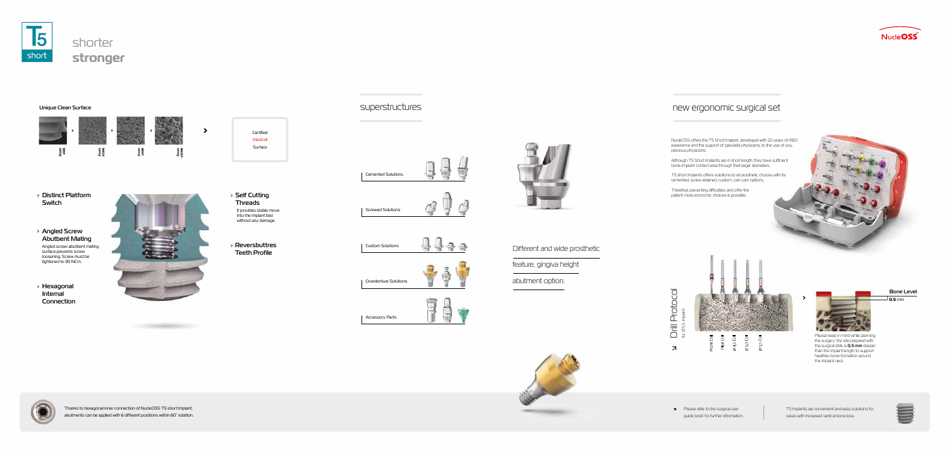

## Unique Clean Surface



## Distinct Platform Switch

Angled Screw Abutbent Mating

> Angled screw-abutbent mating surface prevents screw loosening. Screw must be tightened to 30 NCm.

Hexagonal Internal Connection



 $\rightarrow$ 







## new ergonomic surgical set

**0.5** mm Bone Level



 $\begin{array}{c} \text{Drill \; Protocol} \\ \text{for } \text{a} \, \text{s.} \, \text{impact} \end{array}$ Drill Protocol  $\overline{\mathcal{A}}$ 

NucleOSS offers the T5 Short implant, developed with 20 years of R&D experience and the support of specialist physicians, to the use of you, precious physicians.

Although T5 Short implants are in short length, they have sufficient bone-implant contact area through their larger diameters.

T5 short implants offers solutions to all prosthetic choices with its cemented, screw-retained, custom, cad-cam options.

Therefore preventing difficulties and offer the patient more economic choices is possible.





Please keep in mind while planning the surgery; the site prepared with the surgical drills is  $0,5$  mm deeper than the implant length to support healthier bone formation around



the implant neck.

T5 Implants are convenient and easy solutions for cases with increased vertical bone loss.



## Different and wide prosthetic

feature, gingiva height

abutment option.